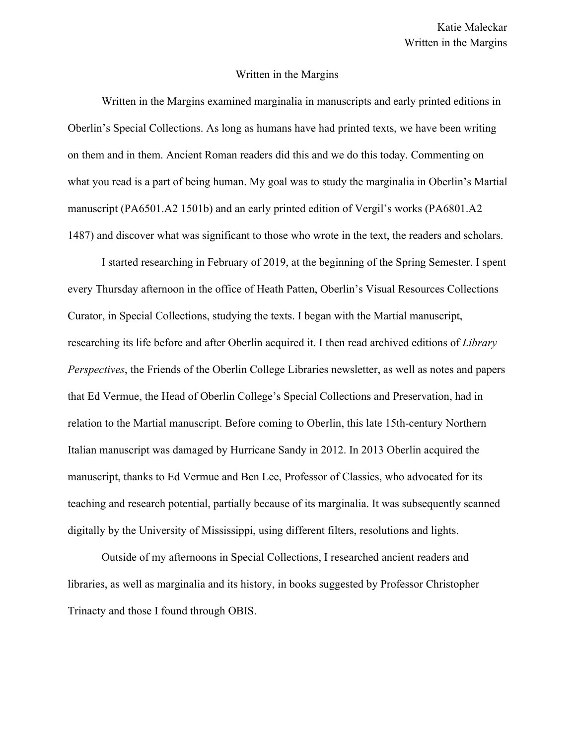## Written in the Margins

Written in the Margins examined marginalia in manuscripts and early printed editions in Oberlin's Special Collections. As long as humans have had printed texts, we have been writing on them and in them. Ancient Roman readers did this and we do this today. Commenting on what you read is a part of being human. My goal was to study the marginalia in Oberlin's Martial manuscript (PA6501.A2 1501b) and an early printed edition of Vergil's works (PA6801.A2 1487) and discover what was significant to those who wrote in the text, the readers and scholars.

I started researching in February of 2019, at the beginning of the Spring Semester. I spent every Thursday afternoon in the office of Heath Patten, Oberlin's Visual Resources Collections Curator, in Special Collections, studying the texts. I began with the Martial manuscript, researching its life before and after Oberlin acquired it. I then read archived editions of *Library Perspectives*, the Friends of the Oberlin College Libraries newsletter, as well as notes and papers that Ed Vermue, the Head of Oberlin College's Special Collections and Preservation, had in relation to the Martial manuscript. Before coming to Oberlin, this late 15th-century Northern Italian manuscript was damaged by Hurricane Sandy in 2012. In 2013 Oberlin acquired the manuscript, thanks to Ed Vermue and Ben Lee, Professor of Classics, who advocated for its teaching and research potential, partially because of its marginalia. It was subsequently scanned digitally by the University of Mississippi, using different filters, resolutions and lights.

Outside of my afternoons in Special Collections, I researched ancient readers and libraries, as well as marginalia and its history, in books suggested by Professor Christopher Trinacty and those I found through OBIS.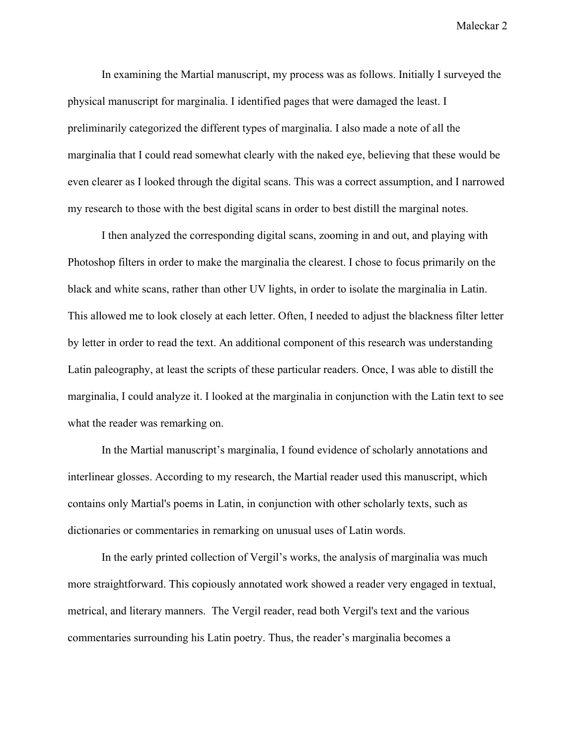Maleckar 2

In examining the Martial manuscript, my process was as follows. Initially I surveyed the physical manuscript for marginalia. I identified pages that were damaged the least. I preliminarily categorized the different types of marginalia. I also made a note of all the marginalia that I could read somewhat clearly with the naked eye, believing that these would be even clearer as I looked through the digital scans. This was a correct assumption, and I narrowed my research to those with the best digital scans in order to best distill the marginal notes.

I then analyzed the corresponding digital scans, zooming in and out, and playing with Photoshop filters in order to make the marginalia the clearest. I chose to focus primarily on the black and white scans, rather than other UV lights, in order to isolate the marginalia in Latin. This allowed me to look closely at each letter. Often, I needed to adjust the blackness filter letter by letter in order to read the text. An additional component of this research was understanding Latin paleography, at least the scripts of these particular readers. Once, I was able to distill the marginalia, I could analyze it. I looked at the marginalia in conjunction with the Latin text to see what the reader was remarking on.

In the Martial manuscript's marginalia, I found evidence of scholarly annotations and interlinear glosses. According to my research, the Martial reader used this manuscript, which contains only Martial's poems in Latin, in conjunction with other scholarly texts, such as dictionaries or commentaries in remarking on unusual uses of Latin words.

In the early printed collection of Vergil's works, the analysis of marginalia was much more straightforward. This copiously annotated work showed a reader very engaged in textual, metrical, and literary manners. The Vergil reader, read both Vergil's text and the various commentaries surrounding his Latin poetry. Thus, the reader's marginalia becomes a